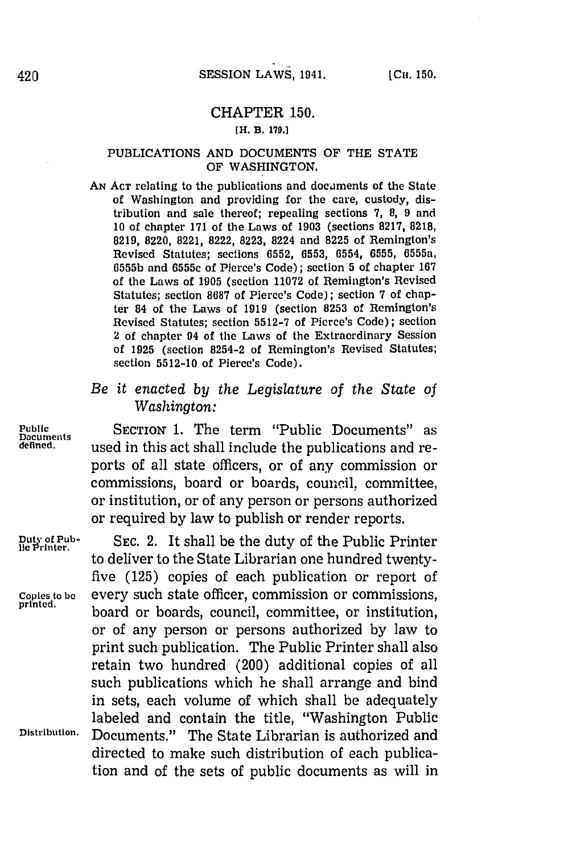## CHAPTER **150.**

## [H. B. **179.]**

## PUBLICATIONS **AND DOCUMENTS** OF THE **STATE** OF **WASHINGTON.**

AN Acr relating to the publications and documents of the State of Washington and providing for the care, custody, distribution and sale thereof; repealing sections **7, 8, 9** and **10** of chapter **171** of the Laws of **1903** (sections **8217, 8218, 8219,** 8220, **8221, 8222, 8223,** 8224 and **8225** of Remington's Revised Statutes; sections **6552, 6553, 0554, 6555,** 6555a, **6555b** and 6555c of Pierce's Code); section **5** of chapter **167** of the Laws of **1905** (section **11072** of Remington's Revised Statutes; section **8687** of Pierce's Code); section **7** of chapter 84 of the Laws of **1919** (section **8253** of Remington's Revised Statutes; section **5512-7** of Pierce's Code); section 2 of chapter 94 of the Laws of the Extraordinary Session of **1925** (section 8254-2 of Remington's Revised Statutes; section **55 12-10** of Pierce's Code).

## *Be it enacted by the Legislature of the State of Washington:*

Public **SECTION 1.** The term "Public Documents" as<br>Decuments used in this act shall include the publications and reused in this act shall include the publications and reports of all state officers, or of any commission or commissions, board or boards, council, committee, or institution, or of any person or persons authorized or required **by** law to publish or render reports.

Duty of Pub-<br>lie Printer. SEC. 2. It shall be the duty of the Public Printer to deliver to the State Librarian one hundred twentyfive **(125)** copies of each publication or report of Copies to **be** every such state officer, commission or commissions, board or boards, council, committee, or institution, or of any person or persons authorized **by** law to print such publication. The Public Printer shall also retain two hundred (200) additional copies of all such publications which he shall arrange and bind in sets, each volume of which shall be adequately labeled and contain the title, "Washington Public Distribution, Documents." The State Librarian is authorized and directed to make such distribution of each publication and of the sets of public documents as will in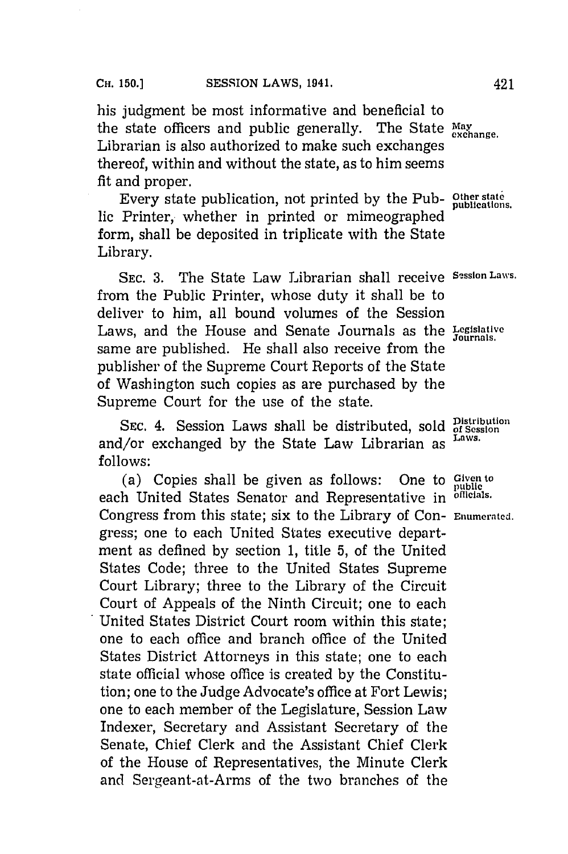his judgment be most informative and beneficial to the state officers and public generally. The State May exchange. Librarian is also authorized to make such exchanges thereof, within and without the state, as to him seems fit and proper.

Every state publication, not printed **by** the Pub- **Other state** lic Printer, whether in printed or mimeographed form, shall be deposited in triplicate with the State Library.

**SEC. 3.** The State Law Librarian shall receive **Session Laws.** from the Public Printer, whose duty it shall be to deliver to him, all bound volumes of the Session Laws, and the House and Senate Journals as the **Legislative** same are published. He shall also receive from the publisher of the Supreme Court Reports of the State of Washington such copies as are purchased **by** the Supreme Court for the use of the state.

SEC.  $\overline{4}$ . Session Laws shall be distributed, sold  $\overline{B}_{SSs}^{Distribution}$ **Laws.** and/or exchanged **by** the State Law Librarian as **follows:**

(a) Copies shall be given as follows: One to Given to bublic to the state of the United States Senator and Representative in officials. each United States Senator and Representative in Congress from this state; six to the Library of Con- Enumerated. gress; one to each United States executive department as defined **by** section **1,** title **5,** of the United States Code; three to the United States Supreme Court Library; three to the Library of the Circuit Court of Appeals of the Ninth Circuit; one to each United States District Court room within this state; one to each office and branch office of the United States District Attorneys in this state; one to each state official whose office is created **by** the Constitution; one to the Judge Advocate's office at Fort Lewis; one to each member of the Legislature, Session Law Indexer, Secretary and Assistant Secretary of the Senate, Chief Clerk and the Assistant Chief Clerk of the House of Representatives, the Minute Clerk and Sergeant-at-Arms of the two branches of the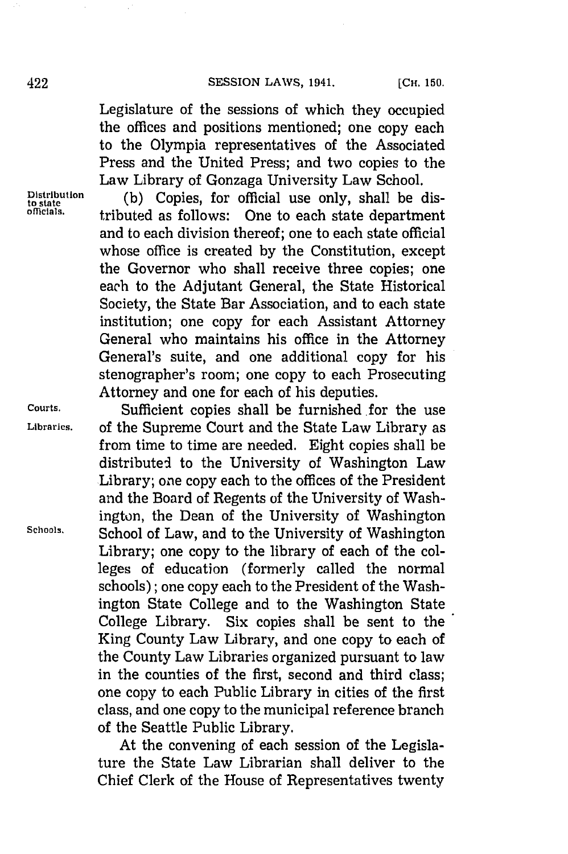Legislature of the sessions of which they occupied the offices and positions mentioned; one copy each to the Olympia representatives of the Associated Press and the United Press; and two copies to the Law Library of Gonzaga University Law School.

Law Library of Gonzaga University Law School.<br>Distribution (b) Copies, for official use only, shall be dis **offcials.** tributed as follows: One to each state department and to each division thereof; one to each state official whose office is created **by** the Constitution, except the Governor who shall receive three copies; one each to the Adjutant General, the State Historical Society, the State Bar Association, and to each state institution; one copy for each Assistant Attorney General who maintains his office in the Attorney General's suite, and one additional copy for his stenographer's room; one copy to each Prosecuting Attorney and one for each of his deputies.

**Courts.** Sufficient copies shall be furnished for the use **Libraries,** of the Supreme Court and the State Law Library as from time to time are needed. Eight copies shall be distributed to the University of Washington Law Library; one copy each to the offices of the President and the Board of Regents of the University of Washington, the Dean of the University of Washington **Schools.** School of Law, and to the University of Washington Library; one copy to the library of each of the colleges of education (formerly called the normal schools); one copy each to the President of the Washington State College and to the Washington State College Library. Six copies shall be sent to the King County Law Library, and one copy to each of the County Law Libraries organized pursuant to law in the counties of the first, second and third class; one copy to each Public Library in cities of the first class, and one copy to the municipal reference branch of the Seattle Public Library.

> At the convening of each session of the Legislature the State Law Librarian shall deliver to the Chief Clerk of the House of Representatives twenty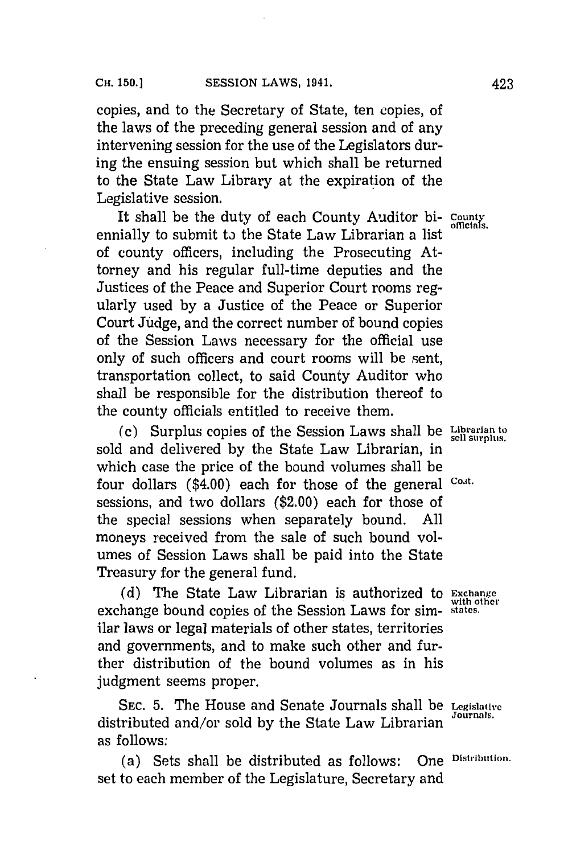copies, and to the Secretary of State, ten copies, of the laws of the preceding general session and of any intervening session for the use of the Legislators during the ensuing session but which shall be returned to the State Law Library at the expiration of the Legislative session.

It shall be the duty of each County Auditor bi- County ennially to submit to the State Law Librarian a list of county officers, including the Prosecuting Attorney and his regular full-time deputies and the Justices of the Peace and Superior Court rooms regularly used **by** a Justice of the Peace or Superior Court Judge, and the correct number of bound copies of the Session Laws necessary for the official use only of such officers and court rooms will be sent, transportation collect, to said County Auditor who shall be responsible for the distribution thereof to the county officials entitled to receive them.

**(c)** Surplus copies of the Session Laws shall be **Librarian to** sold and delivered **by** the State Law Librarian, in which case the price of the bound volumes shall be four dollars (\$4.00) each for those of the general Cost. sessions, and two dollars (\$2.00) each for those of the special sessions when separately bound. **All** moneys received from the sale of such bound volumes of Session Laws shall be paid into the State Treasury for the general fund.

**(d)** The State Law Librarian is authorized to **Exchange** exchange bound copies of the Session Laws for sim- **states.** ilar laws or legal materials of other states, territories and governments, and to make such other and further distribution of the bound volumes as in his judgment seems proper.

**SEC. 5.** The House and Senate Journals shall be **Legislative** distributed and/or sold by the State Law Librarian as follows:

(a) Sets shall be distributed as follows: One **Distribution.** set to each member of the Legislature, Secretary and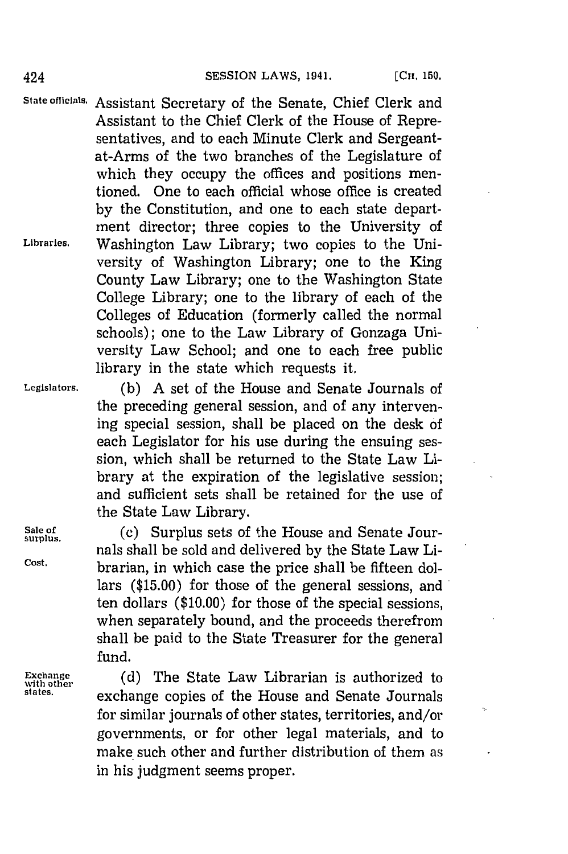State officials. Assistant Secretary of the Senate, Chief Clerk and Assistant to the Chief Clerk of the House of Representatives, and to each Minute Clerk and Sergeantat-Arms of the two branches of the Legislature of which they occupy the offices and positions mentioned. One to each official whose office is created **by** the Constitution, and one to each state department director; three copies to the University of **Libraries.** Washington Law Library; two copies to the University of Washington Library; one to the King County Law Library; one to the Washington State College Library; one to the library of each of the Colleges of Education (formerly called the normal schools); one to the Law Library of Gonzaga University Law School; and one to each free public library in the state which requests it.

**Legislators. (b) A** set of the House and Senate Journals of the preceding general session, and of any intervening special session, shall be placed on the desk **of** each Legislator for his use during the ensuing session, which shall be returned to the State Law Library at the expiration of the legislative session; and sufficient sets shall be retained for the use of the State Law Library.

**Sale of** (c) Surplus sets of the House and Senate Journals shall be sold and delivered by the State Law Li-**Cost.** brarian, in which case the price shall be fifteen dollars **(\$15.00)** for those of the general sessions, and ten dollars **(\$10.00)** for those of the special sessions, when separately bound, and the proceeds therefrom shall be paid to the State Treasurer for the general fund.

rund.<br>Exchange (d) The State Law Librarian is authorized Exchange (d) The State Law Librarian is authorized to<br>
states.<br> **exchange copies of the House and Senate Journals** for similar journals of other states, territories, and/or governments, or for other legal materials, and to make such other and further distribution of them as in his judgment seems proper.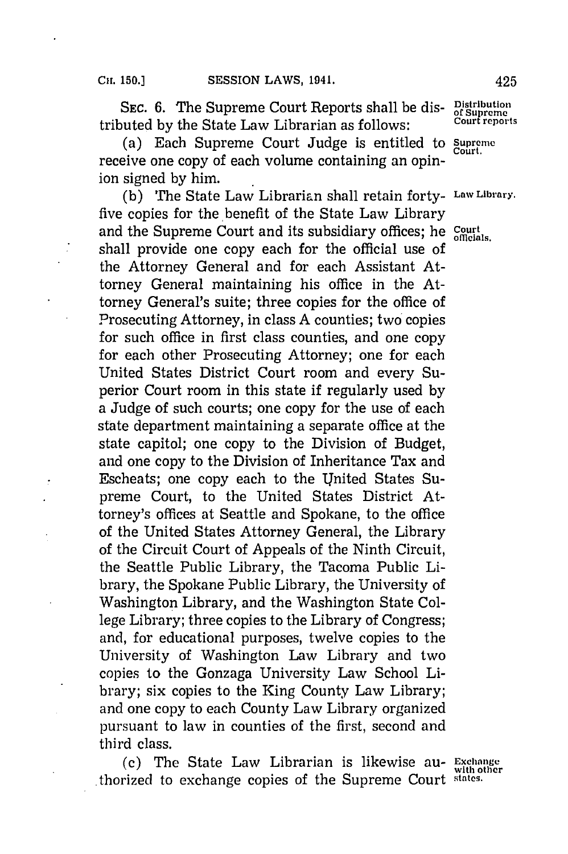**SEC. 6. The Supreme Court Reports shall be dis- Distribution**<br>and by the State Law Librarian as follows: Court reports tributed by the State Law Librarian as follows:

(a) Each Supreme Court Judge is entitled to **Supreme** receive one copy of each volume containing an opinion signed **by** him.

**(b)** The State Law Librarian shall retain forty- **Law Library.** five copies for the benefit of the State Law Library and the Supreme Court and its subsidiary offices; he *Court* and the Supreme Court and its subsidiary offices; he *Court* shall provide one copy each for the official use of the Attorney General and for each Assistant Attorney General maintaining his office in the Attorney General's suite; three copies for the office of Prosecuting Attorney, in class **A** counties; two'copies for such office in first class counties, and one copy for each other Prosecuting Attorney; one for each United States District Court room and every Superior Court room in this state if regularly used **by** a Judge of such courts; one copy for the use of each state department maintaining a separate office at the state capitol; one copy to the Division of Budget, and one copy to the Division of Inheritance Tax and Escheats; one copy each to the United States Supreme Court, to the United States District Attorney's offices at Seattle and Spokane, to the office of the United States Attorney General, the Library of the Circuit Court of Appeals of the Ninth Circuit, the Seattle Public Library, the Tacoma Public Library, the Spokane Public Library, the University of Washington Library, and the Washington State College Library; three copies to the Library of Congress; and, for educational purposes, twelve copies to the University of Washington Law Library and two copies to the Gonzaga University Law School Library; six copies to the King County Law Library; and one copy to each County Law Library organized pursuant to law in counties of the first, second and third class.

(c) The State Law Librarian is likewise au- **Exchange** thorized to exchange copies of the Supreme Court **states.**